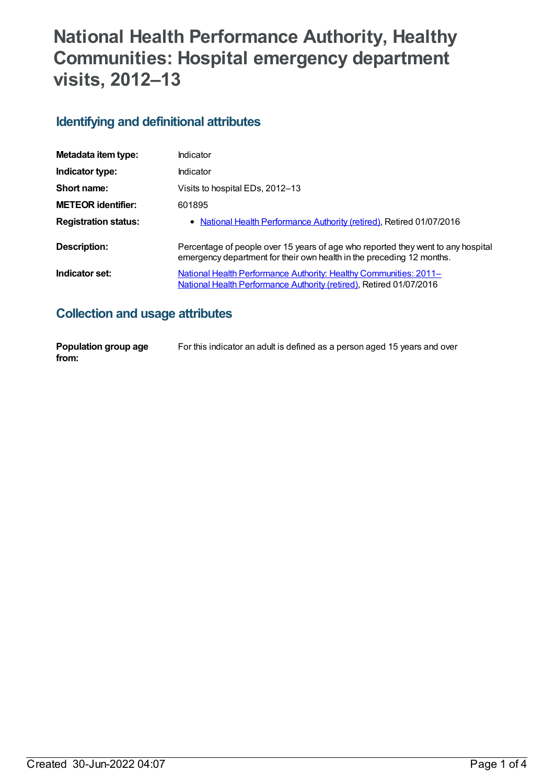# **National Health Performance Authority, Healthy Communities: Hospital emergency department visits, 2012–13**

#### **Identifying and definitional attributes**

| Metadata item type:         | Indicator                                                                                                                                                 |
|-----------------------------|-----------------------------------------------------------------------------------------------------------------------------------------------------------|
| Indicator type:             | Indicator                                                                                                                                                 |
| Short name:                 | Visits to hospital EDs, 2012-13                                                                                                                           |
| <b>METEOR</b> identifier:   | 601895                                                                                                                                                    |
| <b>Registration status:</b> | • National Health Performance Authority (retired), Retired 01/07/2016                                                                                     |
| Description:                | Percentage of people over 15 years of age who reported they went to any hospital<br>emergency department for their own health in the preceding 12 months. |
| Indicator set:              | National Health Performance Authority: Healthy Communities: 2011-<br>National Health Performance Authority (retired), Retired 01/07/2016                  |

### **Collection and usage attributes**

| Population group age | For this indicator an adult is defined as a person aged 15 years and over |
|----------------------|---------------------------------------------------------------------------|
| from:                |                                                                           |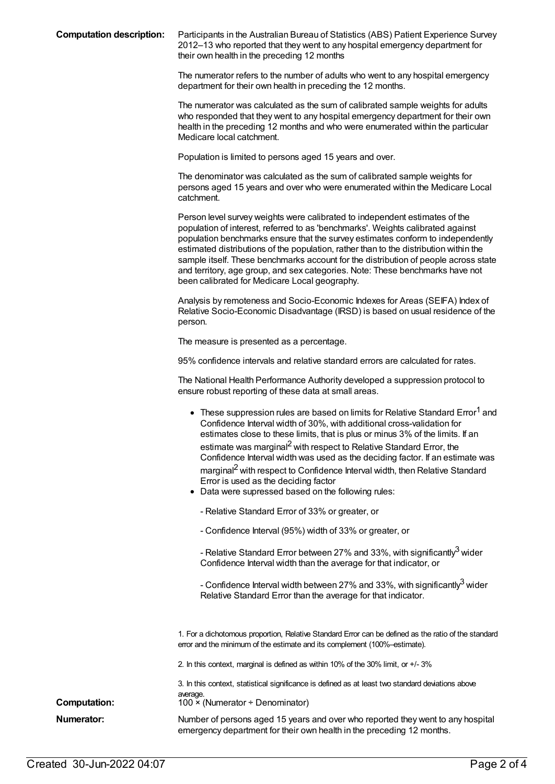**Computation description:** Participants in the Australian Bureau of Statistics (ABS) Patient Experience Survey 2012–13 who reported that they went to any hospital emergency department for their own health in the preceding 12 months

> The numerator refers to the number of adults who went to any hospital emergency department for their own health in preceding the 12 months.

> The numerator was calculated as the sum of calibrated sample weights for adults who responded that they went to any hospital emergency department for their own health in the preceding 12 months and who were enumerated within the particular Medicare local catchment.

Population is limited to persons aged 15 years and over.

The denominator was calculated as the sum of calibrated sample weights for persons aged 15 years and over who were enumerated within the Medicare Local catchment.

Person level survey weights were calibrated to independent estimates of the population of interest, referred to as 'benchmarks'. Weights calibrated against population benchmarks ensure that the survey estimates conform to independently estimated distributions of the population, rather than to the distribution within the sample itself. These benchmarks account for the distribution of people across state and territory, age group, and sex categories. Note: These benchmarks have not been calibrated for Medicare Local geography.

Analysis by remoteness and Socio-Economic Indexes for Areas (SEIFA) Index of Relative Socio-Economic Disadvantage (IRSD) is based on usual residence of the person.

The measure is presented as a percentage.

95% confidence intervals and relative standard errors are calculated for rates.

The National Health Performance Authority developed a suppression protocol to ensure robust reporting of these data at small areas.

| • These suppression rules are based on limits for Relative Standard Error <sup>1</sup> and<br>Confidence Interval width of 30%, with additional cross-validation for<br>estimates close to these limits, that is plus or minus 3% of the limits. If an<br>estimate was marginal <sup>2</sup> with respect to Relative Standard Error, the<br>Confidence Interval width was used as the deciding factor. If an estimate was<br>marginal <sup>2</sup> with respect to Confidence Interval width, then Relative Standard<br>Error is used as the deciding factor<br>Data were supressed based on the following rules: |
|--------------------------------------------------------------------------------------------------------------------------------------------------------------------------------------------------------------------------------------------------------------------------------------------------------------------------------------------------------------------------------------------------------------------------------------------------------------------------------------------------------------------------------------------------------------------------------------------------------------------|
| - Relative Standard Error of 33% or greater, or                                                                                                                                                                                                                                                                                                                                                                                                                                                                                                                                                                    |
| - Confidence Interval (95%) width of 33% or greater, or                                                                                                                                                                                                                                                                                                                                                                                                                                                                                                                                                            |
| - Relative Standard Error between 27% and 33%, with significantly <sup>3</sup> wider<br>Confidence Interval width than the average for that indicator, or                                                                                                                                                                                                                                                                                                                                                                                                                                                          |
| - Confidence Interval width between 27% and 33%, with significantly <sup>3</sup> wider<br>Relative Standard Error than the average for that indicator.                                                                                                                                                                                                                                                                                                                                                                                                                                                             |
| 1. For a dichotomous proportion, Relative Standard Error can be defined as the ratio of the standard<br>error and the minimum of the estimate and its complement (100%-estimate).                                                                                                                                                                                                                                                                                                                                                                                                                                  |
| 2. In this context, marginal is defined as within 10% of the 30% limit, or +/-3%                                                                                                                                                                                                                                                                                                                                                                                                                                                                                                                                   |
| 3. In this context, statistical significance is defined as at least two standard deviations above<br>average.                                                                                                                                                                                                                                                                                                                                                                                                                                                                                                      |

**Computation:** 100 × (Numerator ÷ Denominator)

**Numerator:** Number of persons aged 15 years and over who reported they went to any hospital emergency department for their own health in the preceding 12 months.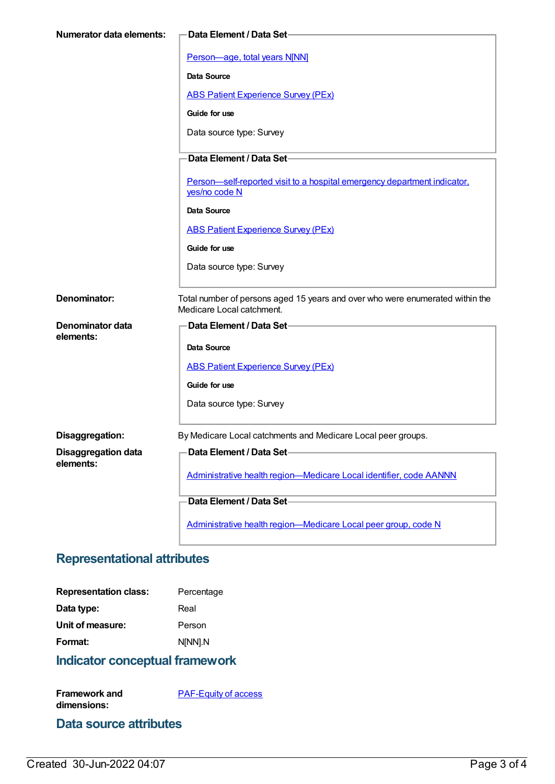| <b>Numerator data elements:</b> | -Data Element / Data Set                                                                                   |
|---------------------------------|------------------------------------------------------------------------------------------------------------|
|                                 | Person-age, total years N[NN]                                                                              |
|                                 | <b>Data Source</b>                                                                                         |
|                                 |                                                                                                            |
|                                 | <b>ABS Patient Experience Survey (PEx)</b>                                                                 |
|                                 | Guide for use                                                                                              |
|                                 | Data source type: Survey                                                                                   |
|                                 | Data Element / Data Set-                                                                                   |
|                                 | Person-self-reported visit to a hospital emergency department indicator.<br>yes/no code N                  |
|                                 | <b>Data Source</b>                                                                                         |
|                                 | <b>ABS Patient Experience Survey (PEx)</b>                                                                 |
|                                 | Guide for use                                                                                              |
|                                 | Data source type: Survey                                                                                   |
| Denominator:                    | Total number of persons aged 15 years and over who were enumerated within the<br>Medicare Local catchment. |
| Denominator data                | <b>Data Element / Data Set-</b>                                                                            |
| elements:                       | <b>Data Source</b>                                                                                         |
|                                 | <b>ABS Patient Experience Survey (PEx)</b>                                                                 |
|                                 | Guide for use                                                                                              |
|                                 |                                                                                                            |
|                                 | Data source type: Survey                                                                                   |
| Disaggregation:                 | By Medicare Local catchments and Medicare Local peer groups.                                               |
| <b>Disaggregation data</b>      | Data Element / Data Set-                                                                                   |
| elements:                       | Administrative health region-Medicare Local identifier, code AANNN                                         |
|                                 | Data Element / Data Set-                                                                                   |
|                                 | Administrative health region-Medicare Local peer group, code N                                             |
|                                 |                                                                                                            |

### **Representational attributes**

| <b>Representation class:</b> | Percentage |
|------------------------------|------------|
| Data type:                   | Real       |
| Unit of measure:             | Person     |
| Format:                      | N[NN].N    |

### **Indicator conceptual framework**

**Framework and dimensions:** [PAF-Equity](https://meteor.aihw.gov.au/content/554927) of access

#### **Data source attributes**